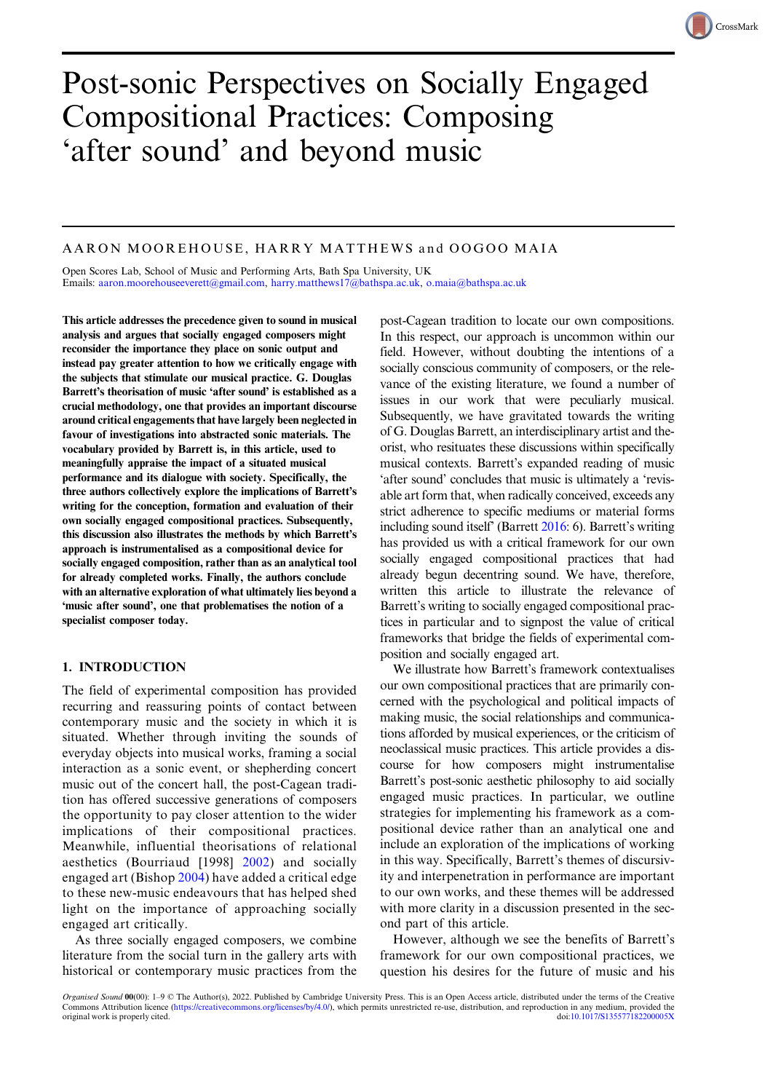# Post-sonic Perspectives on Socially Engaged Compositional Practices: Composing 'after sound' and beyond music

# AARON MOOREHOUSE, HARRY MATTHEWS and OOGOO MAIA

Open Scores Lab, School of Music and Performing Arts, Bath Spa University, UK Emails: [aaron.moorehouseeverett@gmail.com](mailto:aaron.moorehouseeverett@gmail.com), [harry.matthews17@bathspa.ac.uk,](mailto:harry.matthews17@bathspa.ac.uk) [o.maia@bathspa.ac.uk](mailto:o.maia@bathspa.ac.uk)

This article addresses the precedence given to sound in musical analysis and argues that socially engaged composers might reconsider the importance they place on sonic output and instead pay greater attention to how we critically engage with the subjects that stimulate our musical practice. G. Douglas Barrett's theorisation of music 'after sound' is established as a crucial methodology, one that provides an important discourse around critical engagements that have largely been neglected in favour of investigations into abstracted sonic materials. The vocabulary provided by Barrett is, in this article, used to meaningfully appraise the impact of a situated musical performance and its dialogue with society. Specifically, the three authors collectively explore the implications of Barrett's writing for the conception, formation and evaluation of their own socially engaged compositional practices. Subsequently, this discussion also illustrates the methods by which Barrett's approach is instrumentalised as a compositional device for socially engaged composition, rather than as an analytical tool for already completed works. Finally, the authors conclude with an alternative exploration of what ultimately lies beyond a 'music after sound', one that problematises the notion of a specialist composer today.

# 1. INTRODUCTION

The field of experimental composition has provided recurring and reassuring points of contact between contemporary music and the society in which it is situated. Whether through inviting the sounds of everyday objects into musical works, framing a social interaction as a sonic event, or shepherding concert music out of the concert hall, the post-Cagean tradition has offered successive generations of composers the opportunity to pay closer attention to the wider implications of their compositional practices. Meanwhile, influential theorisations of relational aesthetics (Bourriaud [1998] [2002\)](#page-8-0) and socially engaged art (Bishop [2004](#page-8-0)) have added a critical edge to these new-music endeavours that has helped shed light on the importance of approaching socially engaged art critically.

As three socially engaged composers, we combine literature from the social turn in the gallery arts with historical or contemporary music practices from the post-Cagean tradition to locate our own compositions. In this respect, our approach is uncommon within our field. However, without doubting the intentions of a socially conscious community of composers, or the relevance of the existing literature, we found a number of issues in our work that were peculiarly musical. Subsequently, we have gravitated towards the writing of G. Douglas Barrett, an interdisciplinary artist and theorist, who resituates these discussions within specifically musical contexts. Barrett's expanded reading of music 'after sound' concludes that music is ultimately a 'revisable art form that, when radically conceived, exceeds any strict adherence to specific mediums or material forms including sound itself' (Barrett [2016:](#page-8-0) 6). Barrett's writing has provided us with a critical framework for our own socially engaged compositional practices that had already begun decentring sound. We have, therefore, written this article to illustrate the relevance of Barrett's writing to socially engaged compositional practices in particular and to signpost the value of critical frameworks that bridge the fields of experimental composition and socially engaged art.

We illustrate how Barrett's framework contextualises our own compositional practices that are primarily concerned with the psychological and political impacts of making music, the social relationships and communications afforded by musical experiences, or the criticism of neoclassical music practices. This article provides a discourse for how composers might instrumentalise Barrett's post-sonic aesthetic philosophy to aid socially engaged music practices. In particular, we outline strategies for implementing his framework as a compositional device rather than an analytical one and include an exploration of the implications of working in this way. Specifically, Barrett's themes of discursivity and interpenetration in performance are important to our own works, and these themes will be addressed with more clarity in a discussion presented in the second part of this article.

However, although we see the benefits of Barrett's framework for our own compositional practices, we question his desires for the future of music and his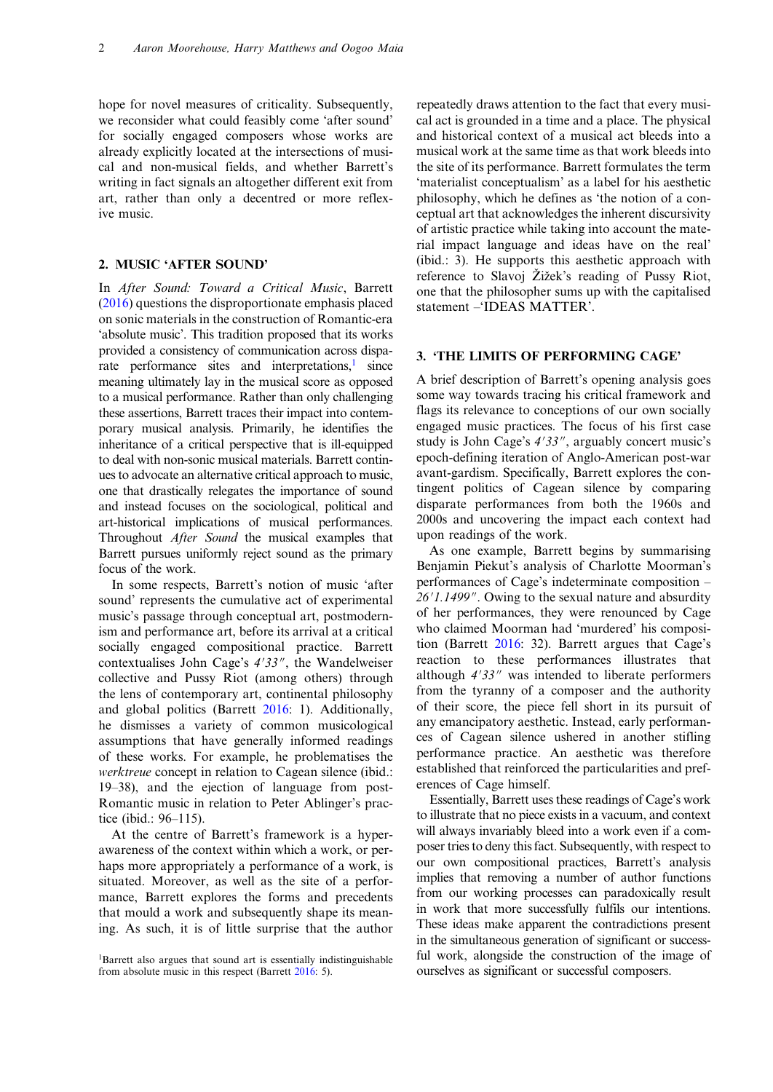hope for novel measures of criticality. Subsequently, we reconsider what could feasibly come 'after sound' for socially engaged composers whose works are already explicitly located at the intersections of musical and non-musical fields, and whether Barrett's writing in fact signals an altogether different exit from art, rather than only a decentred or more reflexive music.

## 2. MUSIC 'AFTER SOUND'

In After Sound: Toward a Critical Music, Barrett [\(2016](#page-8-0)) questions the disproportionate emphasis placed on sonic materials in the construction of Romantic-era 'absolute music'. This tradition proposed that its works provided a consistency of communication across disparate performance sites and interpretations, $\frac{1}{1}$  since meaning ultimately lay in the musical score as opposed to a musical performance. Rather than only challenging these assertions, Barrett traces their impact into contemporary musical analysis. Primarily, he identifies the inheritance of a critical perspective that is ill-equipped to deal with non-sonic musical materials. Barrett continues to advocate an alternative critical approach to music, one that drastically relegates the importance of sound and instead focuses on the sociological, political and art-historical implications of musical performances. Throughout After Sound the musical examples that Barrett pursues uniformly reject sound as the primary focus of the work.

In some respects, Barrett's notion of music 'after sound' represents the cumulative act of experimental music's passage through conceptual art, postmodernism and performance art, before its arrival at a critical socially engaged compositional practice. Barrett contextualises John Cage's 4'33", the Wandelweiser collective and Pussy Riot (among others) through the lens of contemporary art, continental philosophy and global politics (Barrett [2016:](#page-8-0) 1). Additionally, he dismisses a variety of common musicological assumptions that have generally informed readings of these works. For example, he problematises the werktreue concept in relation to Cagean silence (ibid.: 19–38), and the ejection of language from post-Romantic music in relation to Peter Ablinger's practice (ibid.: 96–115).

At the centre of Barrett's framework is a hyperawareness of the context within which a work, or perhaps more appropriately a performance of a work, is situated. Moreover, as well as the site of a performance, Barrett explores the forms and precedents that mould a work and subsequently shape its meaning. As such, it is of little surprise that the author

repeatedly draws attention to the fact that every musical act is grounded in a time and a place. The physical and historical context of a musical act bleeds into a musical work at the same time as that work bleeds into the site of its performance. Barrett formulates the term 'materialist conceptualism' as a label for his aesthetic philosophy, which he defines as 'the notion of a conceptual art that acknowledges the inherent discursivity of artistic practice while taking into account the material impact language and ideas have on the real' (ibid.: 3). He supports this aesthetic approach with reference to Slavoj Žižek's reading of Pussy Riot, one that the philosopher sums up with the capitalised statement –'IDEAS MATTER'.

#### 3. 'THE LIMITS OF PERFORMING CAGE'

A brief description of Barrett's opening analysis goes some way towards tracing his critical framework and flags its relevance to conceptions of our own socially engaged music practices. The focus of his first case study is John Cage's 4'33", arguably concert music's epoch-defining iteration of Anglo-American post-war avant-gardism. Specifically, Barrett explores the contingent politics of Cagean silence by comparing disparate performances from both the 1960s and 2000s and uncovering the impact each context had upon readings of the work.

As one example, Barrett begins by summarising Benjamin Piekut's analysis of Charlotte Moorman's performances of Cage's indeterminate composition – 26'1.1499". Owing to the sexual nature and absurdity of her performances, they were renounced by Cage who claimed Moorman had 'murdered' his composition (Barrett [2016](#page-8-0): 32). Barrett argues that Cage's reaction to these performances illustrates that although  $4'33''$  was intended to liberate performers from the tyranny of a composer and the authority of their score, the piece fell short in its pursuit of any emancipatory aesthetic. Instead, early performances of Cagean silence ushered in another stifling performance practice. An aesthetic was therefore established that reinforced the particularities and preferences of Cage himself.

Essentially, Barrett uses these readings of Cage's work to illustrate that no piece exists in a vacuum, and context will always invariably bleed into a work even if a composer tries to deny this fact. Subsequently, with respect to our own compositional practices, Barrett's analysis implies that removing a number of author functions from our working processes can paradoxically result in work that more successfully fulfils our intentions. These ideas make apparent the contradictions present in the simultaneous generation of significant or successful work, alongside the construction of the image of ourselves as significant or successful composers.

<sup>&</sup>lt;sup>1</sup>Barrett also argues that sound art is essentially indistinguishable from absolute music in this respect (Barrett [2016:](#page-8-0) 5).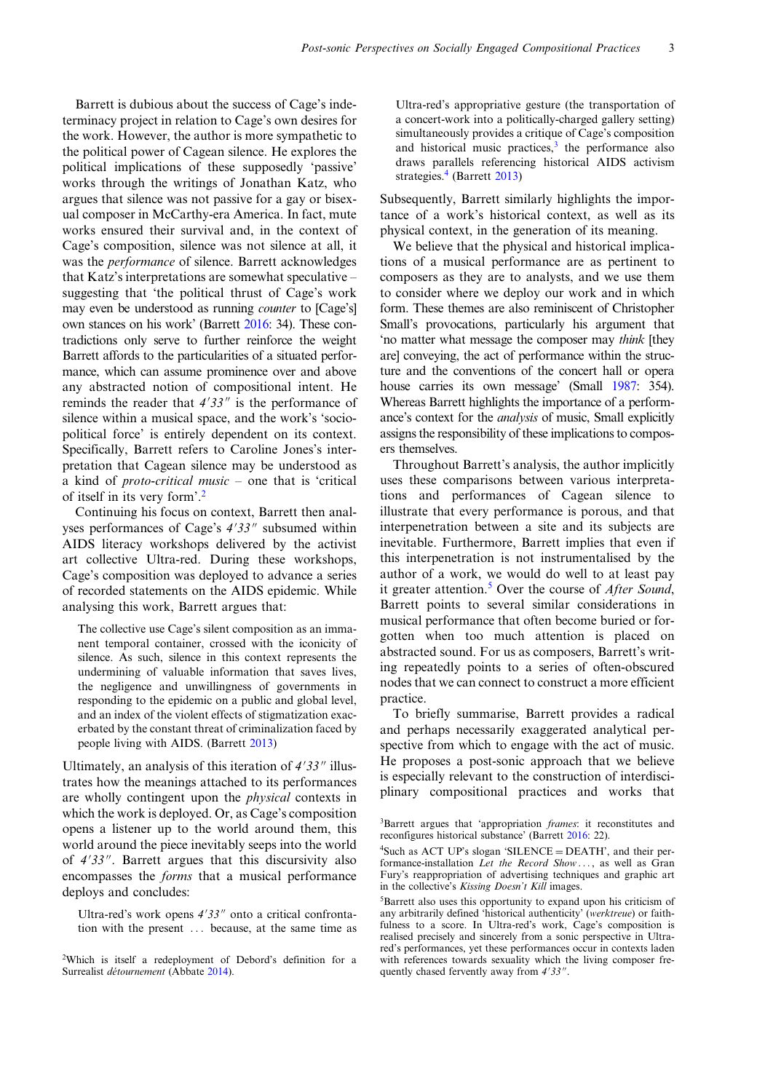Barrett is dubious about the success of Cage's indeterminacy project in relation to Cage's own desires for the work. However, the author is more sympathetic to the political power of Cagean silence. He explores the political implications of these supposedly 'passive' works through the writings of Jonathan Katz, who argues that silence was not passive for a gay or bisexual composer in McCarthy-era America. In fact, mute works ensured their survival and, in the context of Cage's composition, silence was not silence at all, it was the performance of silence. Barrett acknowledges that Katz's interpretations are somewhat speculative – suggesting that 'the political thrust of Cage's work may even be understood as running counter to [Cage's] own stances on his work' (Barrett [2016](#page-8-0): 34). These contradictions only serve to further reinforce the weight Barrett affords to the particularities of a situated performance, which can assume prominence over and above any abstracted notion of compositional intent. He reminds the reader that  $4'33''$  is the performance of silence within a musical space, and the work's 'sociopolitical force' is entirely dependent on its context. Specifically, Barrett refers to Caroline Jones's interpretation that Cagean silence may be understood as a kind of proto-critical music – one that is 'critical of itself in its very form'. 2

Continuing his focus on context, Barrett then analyses performances of Cage's  $4'33''$  subsumed within AIDS literacy workshops delivered by the activist art collective Ultra-red. During these workshops, Cage's composition was deployed to advance a series of recorded statements on the AIDS epidemic. While analysing this work, Barrett argues that:

The collective use Cage's silent composition as an immanent temporal container, crossed with the iconicity of silence. As such, silence in this context represents the undermining of valuable information that saves lives, the negligence and unwillingness of governments in responding to the epidemic on a public and global level, and an index of the violent effects of stigmatization exacerbated by the constant threat of criminalization faced by people living with AIDS. (Barrett [2013\)](#page-8-0)

Ultimately, an analysis of this iteration of  $4'33''$  illustrates how the meanings attached to its performances are wholly contingent upon the physical contexts in which the work is deployed. Or, as Cage's composition opens a listener up to the world around them, this world around the piece inevitably seeps into the world of  $4'33''$ . Barrett argues that this discursivity also encompasses the forms that a musical performance deploys and concludes:

Ultra-red's work opens  $4'33''$  onto a critical confrontation with the present ... because, at the same time as Ultra-red's appropriative gesture (the transportation of a concert-work into a politically-charged gallery setting) simultaneously provides a critique of Cage's composition and historical music practices, $3$  the performance also draws parallels referencing historical AIDS activism strategies.<sup>4</sup> (Barrett [2013\)](#page-8-0)

Subsequently, Barrett similarly highlights the importance of a work's historical context, as well as its physical context, in the generation of its meaning.

We believe that the physical and historical implications of a musical performance are as pertinent to composers as they are to analysts, and we use them to consider where we deploy our work and in which form. These themes are also reminiscent of Christopher Small's provocations, particularly his argument that 'no matter what message the composer may think [they are] conveying, the act of performance within the structure and the conventions of the concert hall or opera house carries its own message' (Small [1987:](#page-8-0) 354). Whereas Barrett highlights the importance of a performance's context for the analysis of music, Small explicitly assigns the responsibility of these implications to composers themselves.

Throughout Barrett's analysis, the author implicitly uses these comparisons between various interpretations and performances of Cagean silence to illustrate that every performance is porous, and that interpenetration between a site and its subjects are inevitable. Furthermore, Barrett implies that even if this interpenetration is not instrumentalised by the author of a work, we would do well to at least pay it greater attention.<sup>5</sup> Over the course of *After Sound*, Barrett points to several similar considerations in musical performance that often become buried or forgotten when too much attention is placed on abstracted sound. For us as composers, Barrett's writing repeatedly points to a series of often-obscured nodes that we can connect to construct a more efficient practice.

To briefly summarise, Barrett provides a radical and perhaps necessarily exaggerated analytical perspective from which to engage with the act of music. He proposes a post-sonic approach that we believe is especially relevant to the construction of interdisciplinary compositional practices and works that

<sup>&</sup>lt;sup>2</sup>Which is itself a redeployment of Debord's definition for a Surrealist détournement (Abbate [2014\)](#page-8-0).

<sup>&</sup>lt;sup>3</sup>Barrett argues that 'appropriation frames: it reconstitutes and reconfigures historical substance' (Barrett [2016:](#page-8-0) 22).

<sup>4</sup> Such as ACT UP's slogan 'SILENCE = DEATH', and their performance-installation Let the Record Show..., as well as Gran Fury's reappropriation of advertising techniques and graphic art in the collective's Kissing Doesn't Kill images.

<sup>5</sup> Barrett also uses this opportunity to expand upon his criticism of any arbitrarily defined 'historical authenticity' (werktreue) or faithfulness to a score. In Ultra-red's work, Cage's composition is realised precisely and sincerely from a sonic perspective in Ultrared's performances, yet these performances occur in contexts laden with references towards sexuality which the living composer frequently chased fervently away from  $4'33''$ .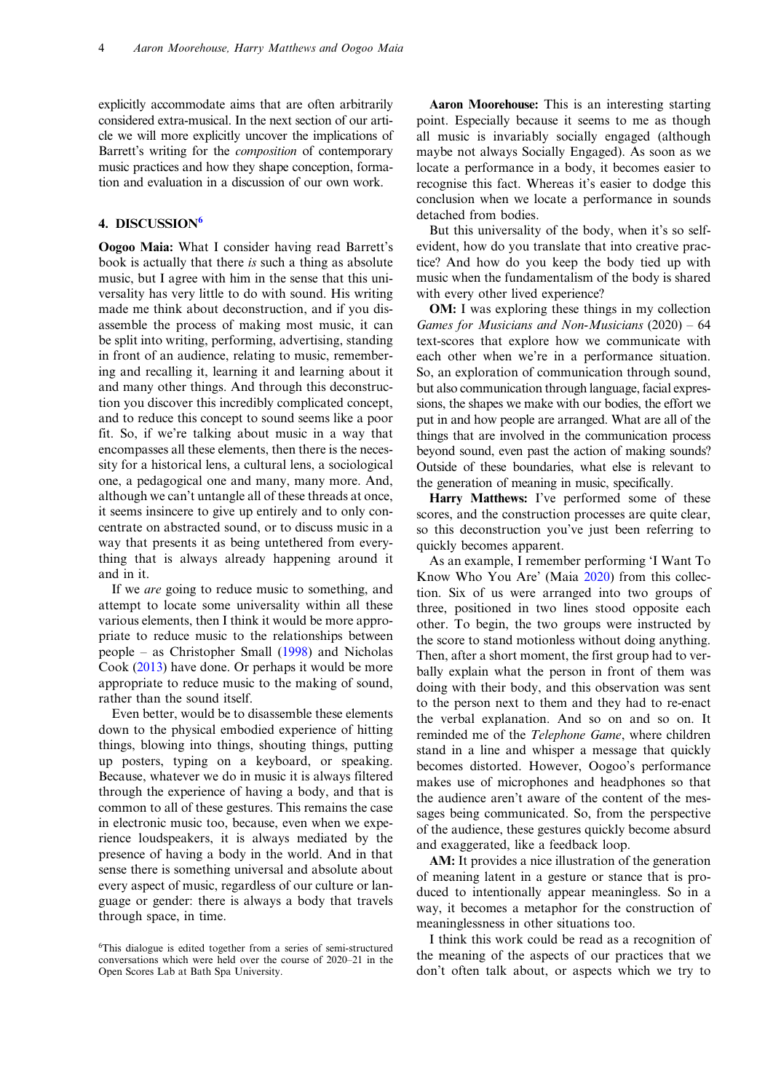explicitly accommodate aims that are often arbitrarily considered extra-musical. In the next section of our article we will more explicitly uncover the implications of Barrett's writing for the composition of contemporary music practices and how they shape conception, formation and evaluation in a discussion of our own work.

## 4 DISCUSSION<sup>6</sup>

Oogoo Maia: What I consider having read Barrett's book is actually that there is such a thing as absolute music, but I agree with him in the sense that this universality has very little to do with sound. His writing made me think about deconstruction, and if you disassemble the process of making most music, it can be split into writing, performing, advertising, standing in front of an audience, relating to music, remembering and recalling it, learning it and learning about it and many other things. And through this deconstruction you discover this incredibly complicated concept, and to reduce this concept to sound seems like a poor fit. So, if we're talking about music in a way that encompasses all these elements, then there is the necessity for a historical lens, a cultural lens, a sociological one, a pedagogical one and many, many more. And, although we can't untangle all of these threads at once, it seems insincere to give up entirely and to only concentrate on abstracted sound, or to discuss music in a way that presents it as being untethered from everything that is always already happening around it and in it.

If we are going to reduce music to something, and attempt to locate some universality within all these various elements, then I think it would be more appropriate to reduce music to the relationships between people – as Christopher Small [\(1998](#page-8-0)) and Nicholas Cook ([2013\)](#page-8-0) have done. Or perhaps it would be more appropriate to reduce music to the making of sound, rather than the sound itself.

Even better, would be to disassemble these elements down to the physical embodied experience of hitting things, blowing into things, shouting things, putting up posters, typing on a keyboard, or speaking. Because, whatever we do in music it is always filtered through the experience of having a body, and that is common to all of these gestures. This remains the case in electronic music too, because, even when we experience loudspeakers, it is always mediated by the presence of having a body in the world. And in that sense there is something universal and absolute about every aspect of music, regardless of our culture or language or gender: there is always a body that travels through space, in time.

Aaron Moorehouse: This is an interesting starting point. Especially because it seems to me as though all music is invariably socially engaged (although maybe not always Socially Engaged). As soon as we locate a performance in a body, it becomes easier to recognise this fact. Whereas it's easier to dodge this conclusion when we locate a performance in sounds detached from bodies.

But this universality of the body, when it's so selfevident, how do you translate that into creative practice? And how do you keep the body tied up with music when the fundamentalism of the body is shared with every other lived experience?

OM: I was exploring these things in my collection Games for Musicians and Non-Musicians (2020) – 64 text-scores that explore how we communicate with each other when we're in a performance situation. So, an exploration of communication through sound, but also communication through language, facial expressions, the shapes we make with our bodies, the effort we put in and how people are arranged. What are all of the things that are involved in the communication process beyond sound, even past the action of making sounds? Outside of these boundaries, what else is relevant to the generation of meaning in music, specifically.

Harry Matthews: I've performed some of these scores, and the construction processes are quite clear, so this deconstruction you've just been referring to quickly becomes apparent.

As an example, I remember performing 'I Want To Know Who You Are' (Maia [2020](#page-8-0)) from this collection. Six of us were arranged into two groups of three, positioned in two lines stood opposite each other. To begin, the two groups were instructed by the score to stand motionless without doing anything. Then, after a short moment, the first group had to verbally explain what the person in front of them was doing with their body, and this observation was sent to the person next to them and they had to re-enact the verbal explanation. And so on and so on. It reminded me of the *Telephone Game*, where children stand in a line and whisper a message that quickly becomes distorted. However, Oogoo's performance makes use of microphones and headphones so that the audience aren't aware of the content of the messages being communicated. So, from the perspective of the audience, these gestures quickly become absurd and exaggerated, like a feedback loop.

AM: It provides a nice illustration of the generation of meaning latent in a gesture or stance that is produced to intentionally appear meaningless. So in a way, it becomes a metaphor for the construction of meaninglessness in other situations too.

I think this work could be read as a recognition of the meaning of the aspects of our practices that we don't often talk about, or aspects which we try to

<sup>6</sup> This dialogue is edited together from a series of semi-structured conversations which were held over the course of 2020–21 in the Open Scores Lab at Bath Spa University.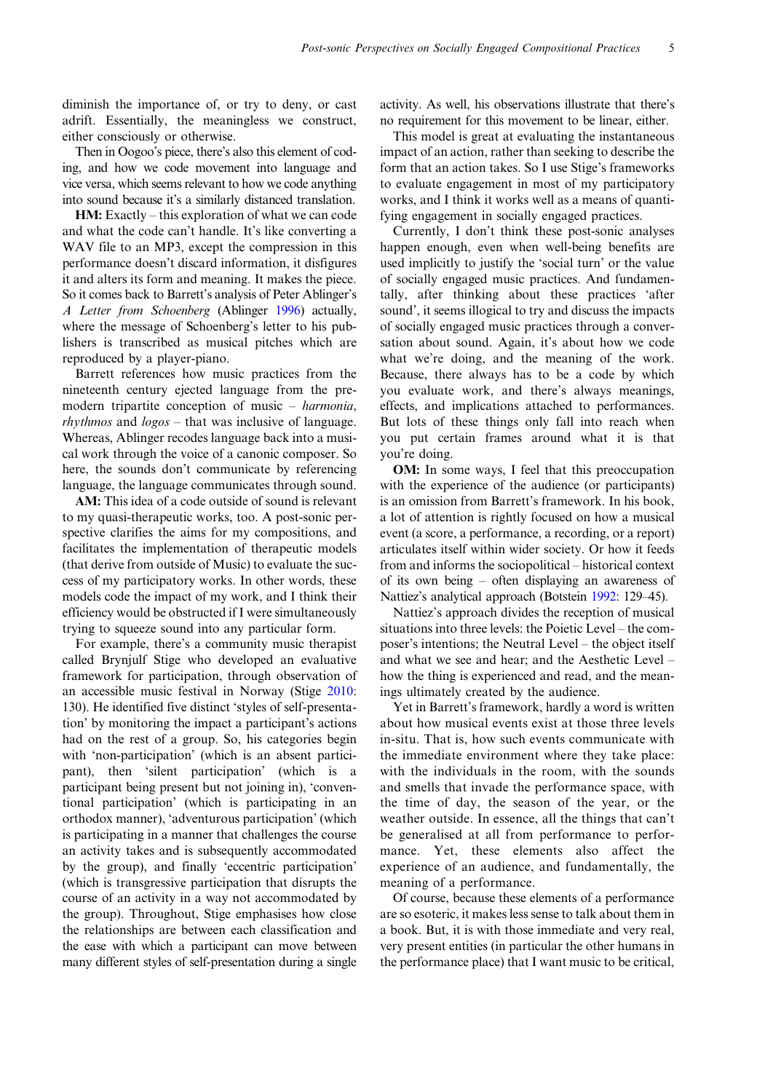diminish the importance of, or try to deny, or cast adrift. Essentially, the meaningless we construct, either consciously or otherwise.

Then in Oogoo's piece, there's also this element of coding, and how we code movement into language and vice versa, which seems relevant to how we code anything into sound because it's a similarly distanced translation.

HM: Exactly – this exploration of what we can code and what the code can't handle. It's like converting a WAV file to an MP3, except the compression in this performance doesn't discard information, it disfigures it and alters its form and meaning. It makes the piece. So it comes back to Barrett's analysis of Peter Ablinger's A Letter from Schoenberg (Ablinger [1996](#page-8-0)) actually, where the message of Schoenberg's letter to his publishers is transcribed as musical pitches which are reproduced by a player-piano.

Barrett references how music practices from the nineteenth century ejected language from the premodern tripartite conception of music – harmonia, rhythmos and logos – that was inclusive of language. Whereas, Ablinger recodes language back into a musical work through the voice of a canonic composer. So here, the sounds don't communicate by referencing language, the language communicates through sound.

AM: This idea of a code outside of sound is relevant to my quasi-therapeutic works, too. A post-sonic perspective clarifies the aims for my compositions, and facilitates the implementation of therapeutic models (that derive from outside of Music) to evaluate the success of my participatory works. In other words, these models code the impact of my work, and I think their efficiency would be obstructed if I were simultaneously trying to squeeze sound into any particular form.

For example, there's a community music therapist called Brynjulf Stige who developed an evaluative framework for participation, through observation of an accessible music festival in Norway (Stige [2010](#page-8-0): 130). He identified five distinct 'styles of self-presentation' by monitoring the impact a participant's actions had on the rest of a group. So, his categories begin with 'non-participation' (which is an absent participant), then 'silent participation' (which is a participant being present but not joining in), 'conventional participation' (which is participating in an orthodox manner), 'adventurous participation' (which is participating in a manner that challenges the course an activity takes and is subsequently accommodated by the group), and finally 'eccentric participation' (which is transgressive participation that disrupts the course of an activity in a way not accommodated by the group). Throughout, Stige emphasises how close the relationships are between each classification and the ease with which a participant can move between many different styles of self-presentation during a single

activity. As well, his observations illustrate that there's no requirement for this movement to be linear, either.

This model is great at evaluating the instantaneous impact of an action, rather than seeking to describe the form that an action takes. So I use Stige's frameworks to evaluate engagement in most of my participatory works, and I think it works well as a means of quantifying engagement in socially engaged practices.

Currently, I don't think these post-sonic analyses happen enough, even when well-being benefits are used implicitly to justify the 'social turn' or the value of socially engaged music practices. And fundamentally, after thinking about these practices 'after sound', it seems illogical to try and discuss the impacts of socially engaged music practices through a conversation about sound. Again, it's about how we code what we're doing, and the meaning of the work. Because, there always has to be a code by which you evaluate work, and there's always meanings, effects, and implications attached to performances. But lots of these things only fall into reach when you put certain frames around what it is that you're doing.

OM: In some ways, I feel that this preoccupation with the experience of the audience (or participants) is an omission from Barrett's framework. In his book, a lot of attention is rightly focused on how a musical event (a score, a performance, a recording, or a report) articulates itself within wider society. Or how it feeds from and informs the sociopolitical – historical context of its own being – often displaying an awareness of Nattiez's analytical approach (Botstein [1992:](#page-8-0) 129–45).

Nattiez's approach divides the reception of musical situations into three levels: the Poietic Level – the composer's intentions; the Neutral Level – the object itself and what we see and hear; and the Aesthetic Level – how the thing is experienced and read, and the meanings ultimately created by the audience.

Yet in Barrett's framework, hardly a word is written about how musical events exist at those three levels in-situ. That is, how such events communicate with the immediate environment where they take place: with the individuals in the room, with the sounds and smells that invade the performance space, with the time of day, the season of the year, or the weather outside. In essence, all the things that can't be generalised at all from performance to performance. Yet, these elements also affect the experience of an audience, and fundamentally, the meaning of a performance.

Of course, because these elements of a performance are so esoteric, it makes less sense to talk about them in a book. But, it is with those immediate and very real, very present entities (in particular the other humans in the performance place) that I want music to be critical,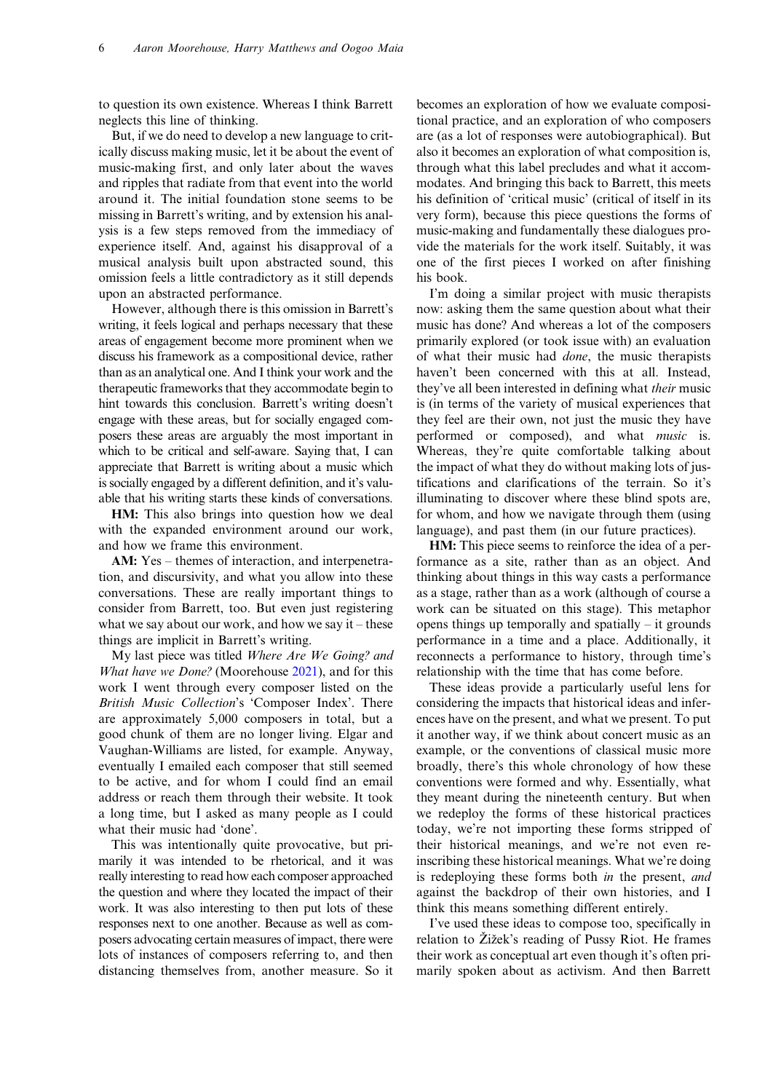to question its own existence. Whereas I think Barrett neglects this line of thinking.

But, if we do need to develop a new language to critically discuss making music, let it be about the event of music-making first, and only later about the waves and ripples that radiate from that event into the world around it. The initial foundation stone seems to be missing in Barrett's writing, and by extension his analysis is a few steps removed from the immediacy of experience itself. And, against his disapproval of a musical analysis built upon abstracted sound, this omission feels a little contradictory as it still depends upon an abstracted performance.

However, although there is this omission in Barrett's writing, it feels logical and perhaps necessary that these areas of engagement become more prominent when we discuss his framework as a compositional device, rather than as an analytical one. And I think your work and the therapeutic frameworks that they accommodate begin to hint towards this conclusion. Barrett's writing doesn't engage with these areas, but for socially engaged composers these areas are arguably the most important in which to be critical and self-aware. Saying that, I can appreciate that Barrett is writing about a music which is socially engaged by a different definition, and it's valuable that his writing starts these kinds of conversations.

HM: This also brings into question how we deal with the expanded environment around our work, and how we frame this environment.

AM: Yes – themes of interaction, and interpenetration, and discursivity, and what you allow into these conversations. These are really important things to consider from Barrett, too. But even just registering what we say about our work, and how we say it – these things are implicit in Barrett's writing.

My last piece was titled Where Are We Going? and What have we Done? (Moorehouse [2021](#page-8-0)), and for this work I went through every composer listed on the British Music Collection's 'Composer Index'. There are approximately 5,000 composers in total, but a good chunk of them are no longer living. Elgar and Vaughan-Williams are listed, for example. Anyway, eventually I emailed each composer that still seemed to be active, and for whom I could find an email address or reach them through their website. It took a long time, but I asked as many people as I could what their music had 'done'.

This was intentionally quite provocative, but primarily it was intended to be rhetorical, and it was really interesting to read how each composer approached the question and where they located the impact of their work. It was also interesting to then put lots of these responses next to one another. Because as well as composers advocating certain measures of impact, there were lots of instances of composers referring to, and then distancing themselves from, another measure. So it

becomes an exploration of how we evaluate compositional practice, and an exploration of who composers are (as a lot of responses were autobiographical). But also it becomes an exploration of what composition is, through what this label precludes and what it accommodates. And bringing this back to Barrett, this meets his definition of 'critical music' (critical of itself in its very form), because this piece questions the forms of music-making and fundamentally these dialogues provide the materials for the work itself. Suitably, it was one of the first pieces I worked on after finishing his book.

I'm doing a similar project with music therapists now: asking them the same question about what their music has done? And whereas a lot of the composers primarily explored (or took issue with) an evaluation of what their music had done, the music therapists haven't been concerned with this at all. Instead, they've all been interested in defining what *their* music is (in terms of the variety of musical experiences that they feel are their own, not just the music they have performed or composed), and what *music* is. Whereas, they're quite comfortable talking about the impact of what they do without making lots of justifications and clarifications of the terrain. So it's illuminating to discover where these blind spots are, for whom, and how we navigate through them (using language), and past them (in our future practices).

HM: This piece seems to reinforce the idea of a performance as a site, rather than as an object. And thinking about things in this way casts a performance as a stage, rather than as a work (although of course a work can be situated on this stage). This metaphor opens things up temporally and spatially – it grounds performance in a time and a place. Additionally, it reconnects a performance to history, through time's relationship with the time that has come before.

These ideas provide a particularly useful lens for considering the impacts that historical ideas and inferences have on the present, and what we present. To put it another way, if we think about concert music as an example, or the conventions of classical music more broadly, there's this whole chronology of how these conventions were formed and why. Essentially, what they meant during the nineteenth century. But when we redeploy the forms of these historical practices today, we're not importing these forms stripped of their historical meanings, and we're not even reinscribing these historical meanings. What we're doing is redeploying these forms both in the present, and against the backdrop of their own histories, and I think this means something different entirely.

I've used these ideas to compose too, specifically in relation to Žižek's reading of Pussy Riot. He frames their work as conceptual art even though it's often primarily spoken about as activism. And then Barrett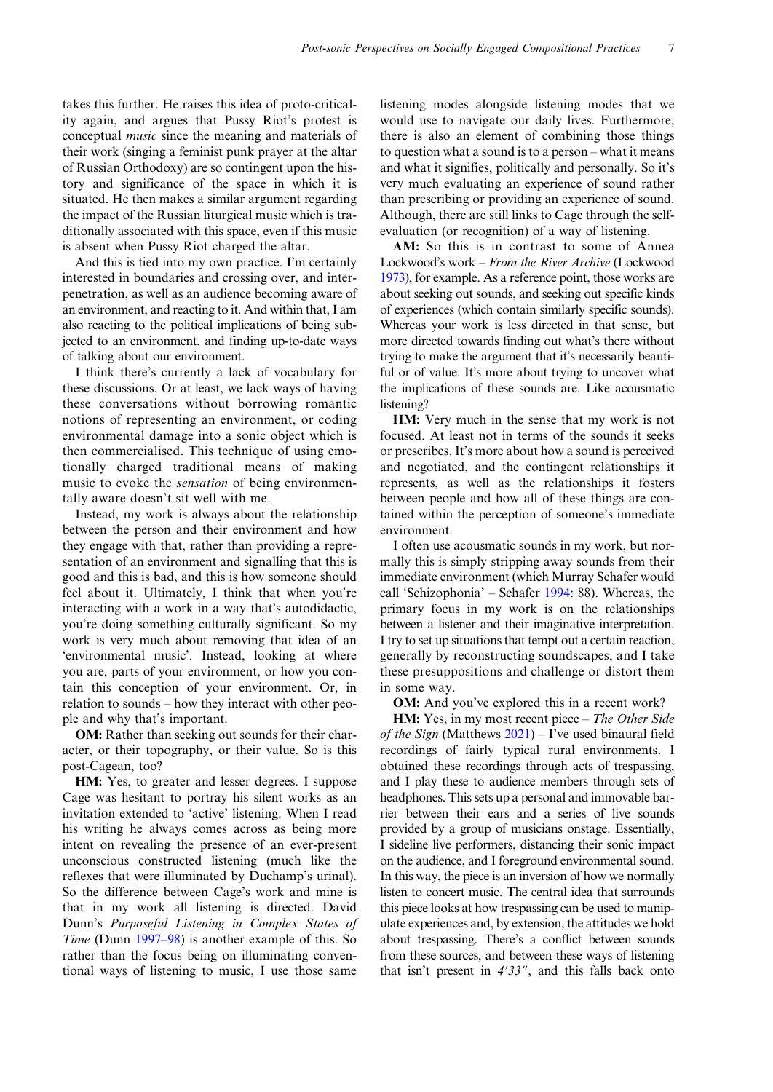takes this further. He raises this idea of proto-criticality again, and argues that Pussy Riot's protest is conceptual music since the meaning and materials of their work (singing a feminist punk prayer at the altar of Russian Orthodoxy) are so contingent upon the history and significance of the space in which it is situated. He then makes a similar argument regarding the impact of the Russian liturgical music which is traditionally associated with this space, even if this music is absent when Pussy Riot charged the altar.

And this is tied into my own practice. I'm certainly interested in boundaries and crossing over, and interpenetration, as well as an audience becoming aware of an environment, and reacting to it. And within that, I am also reacting to the political implications of being subjected to an environment, and finding up-to-date ways of talking about our environment.

I think there's currently a lack of vocabulary for these discussions. Or at least, we lack ways of having these conversations without borrowing romantic notions of representing an environment, or coding environmental damage into a sonic object which is then commercialised. This technique of using emotionally charged traditional means of making music to evoke the *sensation* of being environmentally aware doesn't sit well with me.

Instead, my work is always about the relationship between the person and their environment and how they engage with that, rather than providing a representation of an environment and signalling that this is good and this is bad, and this is how someone should feel about it. Ultimately, I think that when you're interacting with a work in a way that's autodidactic, you're doing something culturally significant. So my work is very much about removing that idea of an 'environmental music'. Instead, looking at where you are, parts of your environment, or how you contain this conception of your environment. Or, in relation to sounds – how they interact with other people and why that's important.

OM: Rather than seeking out sounds for their character, or their topography, or their value. So is this post-Cagean, too?

HM: Yes, to greater and lesser degrees. I suppose Cage was hesitant to portray his silent works as an invitation extended to 'active' listening. When I read his writing he always comes across as being more intent on revealing the presence of an ever-present unconscious constructed listening (much like the reflexes that were illuminated by Duchamp's urinal). So the difference between Cage's work and mine is that in my work all listening is directed. David Dunn's Purposeful Listening in Complex States of Time (Dunn [1997](#page-8-0)–98) is another example of this. So rather than the focus being on illuminating conventional ways of listening to music, I use those same

listening modes alongside listening modes that we would use to navigate our daily lives. Furthermore, there is also an element of combining those things to question what a sound is to a person – what it means and what it signifies, politically and personally. So it's very much evaluating an experience of sound rather than prescribing or providing an experience of sound. Although, there are still links to Cage through the selfevaluation (or recognition) of a way of listening.

AM: So this is in contrast to some of Annea Lockwood's work – From the River Archive (Lockwood [1973](#page-8-0)), for example. As a reference point, those works are about seeking out sounds, and seeking out specific kinds of experiences (which contain similarly specific sounds). Whereas your work is less directed in that sense, but more directed towards finding out what's there without trying to make the argument that it's necessarily beautiful or of value. It's more about trying to uncover what the implications of these sounds are. Like acousmatic listening?

HM: Very much in the sense that my work is not focused. At least not in terms of the sounds it seeks or prescribes. It's more about how a sound is perceived and negotiated, and the contingent relationships it represents, as well as the relationships it fosters between people and how all of these things are contained within the perception of someone's immediate environment.

I often use acousmatic sounds in my work, but normally this is simply stripping away sounds from their immediate environment (which Murray Schafer would call 'Schizophonia' – Schafer [1994:](#page-8-0) 88). Whereas, the primary focus in my work is on the relationships between a listener and their imaginative interpretation. I try to set up situations that tempt out a certain reaction, generally by reconstructing soundscapes, and I take these presuppositions and challenge or distort them in some way.

OM: And you've explored this in a recent work?

HM: Yes, in my most recent piece – The Other Side of the Sign (Matthews  $2021$ ) – I've used binaural field recordings of fairly typical rural environments. I obtained these recordings through acts of trespassing, and I play these to audience members through sets of headphones. This sets up a personal and immovable barrier between their ears and a series of live sounds provided by a group of musicians onstage. Essentially, I sideline live performers, distancing their sonic impact on the audience, and I foreground environmental sound. In this way, the piece is an inversion of how we normally listen to concert music. The central idea that surrounds this piece looks at how trespassing can be used to manipulate experiences and, by extension, the attitudes we hold about trespassing. There's a conflict between sounds from these sources, and between these ways of listening that isn't present in  $4'33''$ , and this falls back onto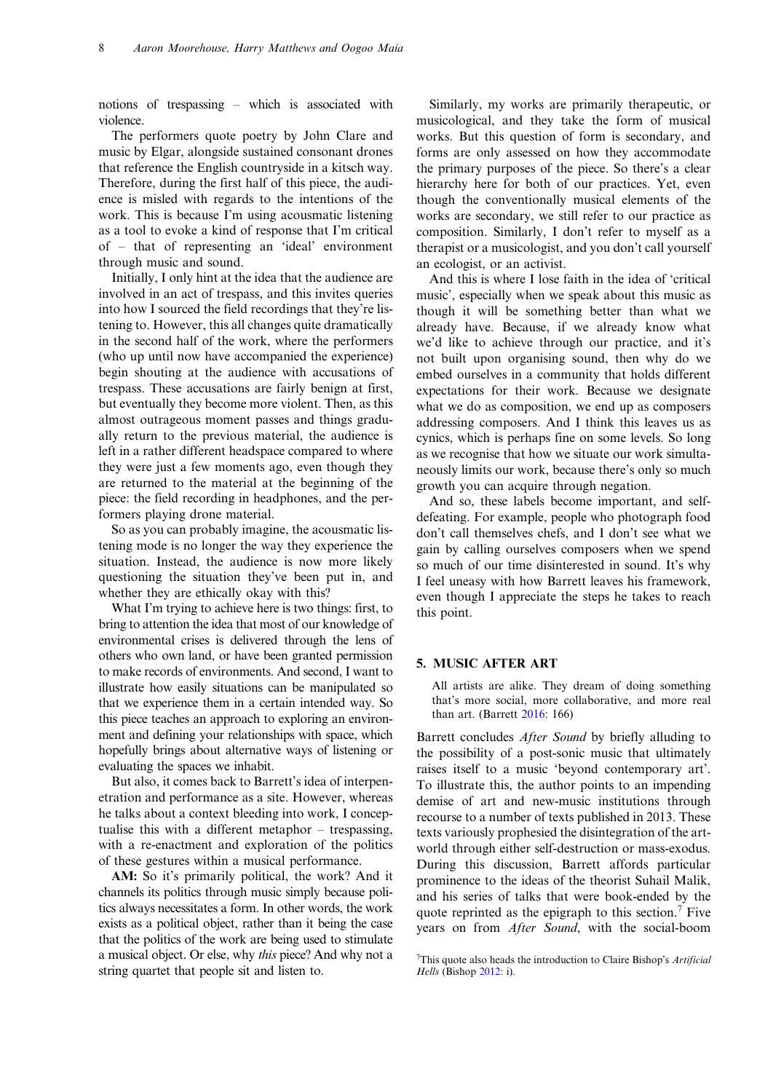notions of trespassing – which is associated with violence.

The performers quote poetry by John Clare and music by Elgar, alongside sustained consonant drones that reference the English countryside in a kitsch way. Therefore, during the first half of this piece, the audience is misled with regards to the intentions of the work. This is because I'm using acousmatic listening as a tool to evoke a kind of response that I'm critical of – that of representing an 'ideal' environment through music and sound.

Initially, I only hint at the idea that the audience are involved in an act of trespass, and this invites queries into how I sourced the field recordings that they're listening to. However, this all changes quite dramatically in the second half of the work, where the performers (who up until now have accompanied the experience) begin shouting at the audience with accusations of trespass. These accusations are fairly benign at first, but eventually they become more violent. Then, as this almost outrageous moment passes and things gradually return to the previous material, the audience is left in a rather different headspace compared to where they were just a few moments ago, even though they are returned to the material at the beginning of the piece: the field recording in headphones, and the performers playing drone material.

So as you can probably imagine, the acousmatic listening mode is no longer the way they experience the situation. Instead, the audience is now more likely questioning the situation they've been put in, and whether they are ethically okay with this?

What I'm trying to achieve here is two things: first, to bring to attention the idea that most of our knowledge of environmental crises is delivered through the lens of others who own land, or have been granted permission to make records of environments. And second, I want to illustrate how easily situations can be manipulated so that we experience them in a certain intended way. So this piece teaches an approach to exploring an environment and defining your relationships with space, which hopefully brings about alternative ways of listening or evaluating the spaces we inhabit.

But also, it comes back to Barrett's idea of interpenetration and performance as a site. However, whereas he talks about a context bleeding into work, I conceptualise this with a different metaphor – trespassing, with a re-enactment and exploration of the politics of these gestures within a musical performance.

AM: So it's primarily political, the work? And it channels its politics through music simply because politics always necessitates a form. In other words, the work exists as a political object, rather than it being the case that the politics of the work are being used to stimulate a musical object. Or else, why this piece? And why not a string quartet that people sit and listen to.

Similarly, my works are primarily therapeutic, or musicological, and they take the form of musical works. But this question of form is secondary, and forms are only assessed on how they accommodate the primary purposes of the piece. So there's a clear hierarchy here for both of our practices. Yet, even though the conventionally musical elements of the works are secondary, we still refer to our practice as composition. Similarly, I don't refer to myself as a therapist or a musicologist, and you don't call yourself an ecologist, or an activist.

And this is where I lose faith in the idea of 'critical music', especially when we speak about this music as though it will be something better than what we already have. Because, if we already know what we'd like to achieve through our practice, and it's not built upon organising sound, then why do we embed ourselves in a community that holds different expectations for their work. Because we designate what we do as composition, we end up as composers addressing composers. And I think this leaves us as cynics, which is perhaps fine on some levels. So long as we recognise that how we situate our work simultaneously limits our work, because there's only so much growth you can acquire through negation.

And so, these labels become important, and selfdefeating. For example, people who photograph food don't call themselves chefs, and I don't see what we gain by calling ourselves composers when we spend so much of our time disinterested in sound. It's why I feel uneasy with how Barrett leaves his framework, even though I appreciate the steps he takes to reach this point.

# 5. MUSIC AFTER ART

All artists are alike. They dream of doing something that's more social, more collaborative, and more real than art. (Barrett [2016](#page-8-0): 166)

Barrett concludes *After Sound* by briefly alluding to the possibility of a post-sonic music that ultimately raises itself to a music 'beyond contemporary art'. To illustrate this, the author points to an impending demise of art and new-music institutions through recourse to a number of texts published in 2013. These texts variously prophesied the disintegration of the artworld through either self-destruction or mass-exodus. During this discussion, Barrett affords particular prominence to the ideas of the theorist Suhail Malik, and his series of talks that were book-ended by the quote reprinted as the epigraph to this section.<sup>7</sup> Five years on from After Sound, with the social-boom

<sup>&</sup>lt;sup>7</sup>This quote also heads the introduction to Claire Bishop's Artificial Hells (Bishop [2012:](#page-8-0) i).